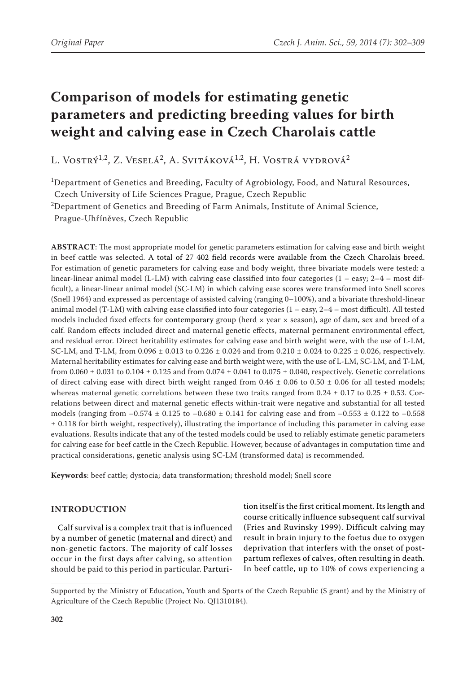# **Comparison of models for estimating genetic parameters and predicting breeding values for birth weight and calving ease in Czech Charolais cattle**

L. Vostrý<sup>1,2</sup>, Z. Veselá<sup>2</sup>, A. Svitáková<sup>1,2</sup>, H. Vostrá vydrová<sup>2</sup>

<sup>1</sup>Department of Genetics and Breeding, Faculty of Agrobiology, Food, and Natural Resources,

Czech University of Life Sciences Prague, Prague, Czech Republic

 $^{2}$ Department of Genetics and Breeding of Farm Animals, Institute of Animal Science,

Prague-Uhříněves, Czech Republic

**ABSTRACT**: The most appropriate model for genetic parameters estimation for calving ease and birth weight in beef cattle was selected. A total of 27 402 field records were available from the Czech Charolais breed. For estimation of genetic parameters for calving ease and body weight, three bivariate models were tested: a linear-linear animal model (L-LM) with calving ease classified into four categories  $(1 - easy; 2-4 - most dif$ ficult), a linear-linear animal model (SC-LM) in which calving ease scores were transformed into Snell scores (Snell 1964) and expressed as percentage of assisted calving (ranging 0–100%), and a bivariate threshold-linear animal model (T-LM) with calving ease classified into four categories (1 – easy, 2–4 – most difficult). All tested models included fixed effects for contemporary group (herd  $\times$  year  $\times$  season), age of dam, sex and breed of a calf. Random effects included direct and maternal genetic effects, maternal permanent environmental effect, and residual error. Direct heritability estimates for calving ease and birth weight were, with the use of L-LM, SC-LM, and T-LM, from  $0.096 \pm 0.013$  to  $0.226 \pm 0.024$  and from  $0.210 \pm 0.024$  to  $0.225 \pm 0.026$ , respectively. Maternal heritability estimates for calving ease and birth weight were, with the use of L-LM, SC-LM, and T-LM, from  $0.060 \pm 0.031$  to  $0.104 \pm 0.125$  and from  $0.074 \pm 0.041$  to  $0.075 \pm 0.040$ , respectively. Genetic correlations of direct calving ease with direct birth weight ranged from  $0.46 \pm 0.06$  to  $0.50 \pm 0.06$  for all tested models; whereas maternal genetic correlations between these two traits ranged from  $0.24 \pm 0.17$  to  $0.25 \pm 0.53$ . Correlations between direct and maternal genetic effects within-trait were negative and substantial for all tested models (ranging from  $-0.574 \pm 0.125$  to  $-0.680 \pm 0.141$  for calving ease and from  $-0.553 \pm 0.122$  to  $-0.558$ ± 0.118 for birth weight, respectively), illustrating the importance of including this parameter in calving ease evaluations. Results indicate that any of the tested models could be used to reliably estimate genetic parameters for calving ease for beef cattle in the Czech Republic. However, because of advantages in computation time and practical considerations, genetic analysis using SC-LM (transformed data) is recommended.

**Keywords**: beef cattle; dystocia; data transformation; threshold model; Snell score

# **INTRODUCTION**

Calf survival is a complex trait that is influenced by a number of genetic (maternal and direct) and non-genetic factors. The majority of calf losses occur in the first days after calving, so attention should be paid to this period in particular. Parturition itself is the first critical moment. Its length and course critically influence subsequent calf survival (Fries and Ruvinsky 1999). Difficult calving may result in brain injury to the foetus due to oxygen deprivation that interfers with the onset of postpartum reflexes of calves, often resulting in death. In beef cattle, up to 10% of cows experiencing a

Supported by the Ministry of Education, Youth and Sports of the Czech Republic (S grant) and by the Ministry of Agriculture of the Czech Republic (Project No. QJ1310184).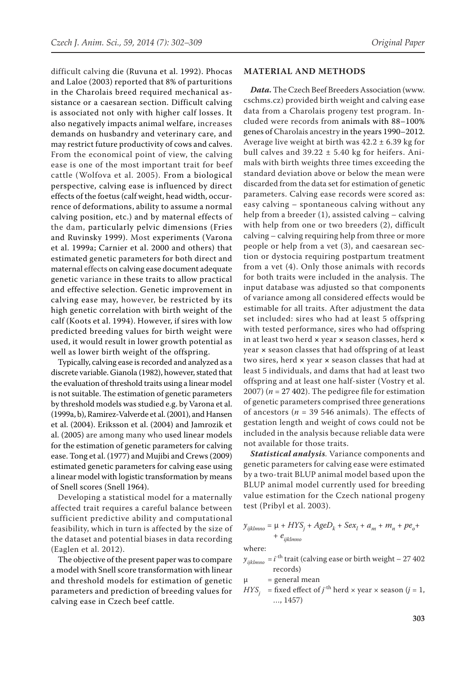difficult calving die (Ruvuna et al. 1992). Phocas and Laloe (2003) reported that 8% of parturitions in the Charolais breed required mechanical assistance or a caesarean section. Difficult calving is associated not only with higher calf losses. It also negatively impacts animal welfare, increases demands on husbandry and veterinary care, and may restrict future productivity of cows and calves. From the economical point of view, the calving ease is one of the most important trait for beef cattle (Wolfova et al. 2005). From a biological perspective, calving ease is influenced by direct effects of the foetus (calf weight, head width, occurrence of deformations, ability to assume a normal calving position, etc.) and by maternal effects of the dam, particularly pelvic dimensions (Fries and Ruvinsky 1999). Most experiments (Varona et al. 1999a; Carnier et al. 2000 and others) that estimated genetic parameters for both direct and maternal effects on calving ease document adequate genetic variance in these traits to allow practical and effective selection. Genetic improvement in calving ease may, however, be restricted by its high genetic correlation with birth weight of the calf (Koots et al. 1994). However, if sires with low predicted breeding values for birth weight were used, it would result in lower growth potential as well as lower birth weight of the offspring.

Typically, calving ease is recorded and analyzed as a discrete variable. Gianola (1982), however, stated that the evaluation of threshold traits using a linear model is not suitable. The estimation of genetic parameters by threshold models was studied e.g. by Varona et al. (1999a, b), Ramirez-Valverde et al. (2001), and Hansen et al. (2004). Eriksson et al. (2004) and Jamrozik et al. (2005) are among many who used linear models for the estimation of genetic parameters for calving ease. Tong et al. (1977) and Mujibi and Crews (2009) estimated genetic parameters for calving ease using a linear model with logistic transformation by means of Snell scores (Snell 1964).

Developing a statistical model for a maternally affected trait requires a careful balance between sufficient predictive ability and computational feasibility, which in turn is affected by the size of the dataset and potential biases in data recording (Eaglen et al. 2012).

The objective of the present paper was to compare a model with Snell score transformation with linear and threshold models for estimation of genetic parameters and prediction of breeding values for calving ease in Czech beef cattle.

#### **MATERIAL AND METHODS**

*Data.* The Czech Beef Breeders Association ([www.](http://www.cschms.cz) [cschms.cz](http://www.cschms.cz)) provided birth weight and calving ease data from a Charolais progeny test program. Included were records from animals with 88–100% genes of Charolais ancestry in the years 1990–2012. Average live weight at birth was  $42.2 \pm 6.39$  kg for bull calves and  $39.22 \pm 5.40$  kg for heifers. Animals with birth weights three times exceeding the standard deviation above or below the mean were discarded from the data set for estimation of genetic parameters. Calving ease records were scored as: easy calving – spontaneous calving without any help from a breeder (1), assisted calving – calving with help from one or two breeders (2), difficult calving – calving requiring help from three or more people or help from a vet (3), and caesarean section or dystocia requiring postpartum treatment from a vet (4). Only those animals with records for both traits were included in the analysis. The input database was adjusted so that components of variance among all considered effects would be estimable for all traits. After adjustment the data set included: sires who had at least 5 offspring with tested performance, sires who had offspring in at least two herd **×** year **×** season classes, herd **×** year **×** season classes that had offspring of at least two sires, herd **×** year **×** season classes that had at least 5 individuals, and dams that had at least two offspring and at least one half-sister (Vostry et al. 2007) ( $n = 27,402$ ). The pedigree file for estimation of genetic parameters comprised three generations of ancestors ( $n = 39546$  animals). The effects of gestation length and weight of cows could not be included in the analysis because reliable data were not available for those traits.

*Statistical analysis.* Variance components and genetic parameters for calving ease were estimated by a two-trait BLUP animal model based upon the BLUP animal model currently used for breeding value estimation for the Czech national progeny test (Pribyl et al. 2003).

$$
y_{ijklmno} = \mu + HYS_j + AgeD_k + Sex_l + a_m + m_n + pe_o +
$$
  
+  $e_{ijklmno}$ 

where:

 $y_{ijklmno} = i^{-\text{th}}$  trait (calving ease or birth weight – 27 402 records)

$$
\mu = general mean
$$

 $HYS$ <sub>*j*</sub> = fixed effect of *j*<sup>th</sup> herd × year × season (*j* = 1, …, 1457)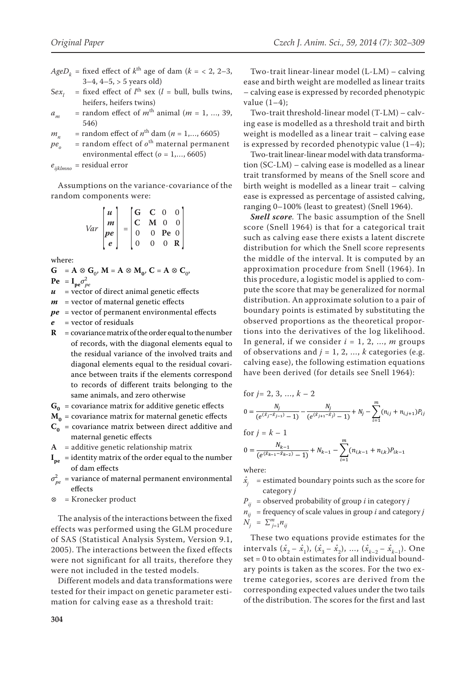- $AgeD<sub>k</sub>$  = fixed effect of  $k<sup>th</sup>$  age of dam ( $k = \langle 2, 2-3, \rangle$  $3-4$ ,  $4-5$ ,  $> 5$  years old)
- = fixed effect of  $l^{\text{th}}$  sex ( $l$  = bull, bulls twins,  $Sex_i$ heifers, heifers twins)
- = random effect of  $m<sup>th</sup>$  animal ( $m = 1, ..., 39$ ,  $a_{m}$  $546$
- = random effect of  $n^{\text{th}}$  dam ( $n = 1,..., 6605$ )  $m_{n}$
- = random effect of  $o^{\text{th}}$  maternal permanent  $pe_{\alpha}$ environmental effect ( $o = 1,..., 6605$ ) = residual error

 $e_{ijklmno}$ 

Assumptions on the variance-covariance of the random components were:

$$
Var\begin{bmatrix} u \\ m \\ pe \\ e \end{bmatrix} = \begin{bmatrix} G & C & 0 & 0 \\ C & M & 0 & 0 \\ 0 & 0 & Pe & 0 \\ 0 & 0 & 0 & R \end{bmatrix}
$$

where:

$$
G = A \otimes G_0, M = A \otimes M_0, C = A \otimes C_0,
$$
  
Pe = I<sub>ne</sub>  $\sigma_{ne}^2$ 

 $\boldsymbol{u}$ = vector of direct animal genetic effects

- $m$  = vector of maternal genetic effects
- $pe$  = vector of permanent environmental effects
- $\boldsymbol{e}$  $=$  vector of residuals
- $\mathbf{R}$  = covariance matrix of the order equal to the number of records, with the diagonal elements equal to the residual variance of the involved traits and diagonal elements equal to the residual covariance between traits if the elements correspond to records of different traits belonging to the same animals, and zero otherwise
- $G_0$  = covariance matrix for additive genetic effects
- $M_0$  = covariance matrix for maternal genetic effects
- $C_0$  = covariance matrix between direct additive and maternal genetic effects
- $A = additive$  genetic relationship matrix
- $I_{\text{pe}}$  = identity matrix of the order equal to the number of dam effects
- $\sigma_{ne}^2$  = variance of maternal permanent environmental effects
- $\otimes$  = Kronecker product

The analysis of the interactions between the fixed effects was performed using the GLM procedure of SAS (Statistical Analysis System, Version 9.1, 2005). The interactions between the fixed effects were not significant for all traits, therefore they were not included in the tested models.

Different models and data transformations were tested for their impact on genetic parameter estimation for calving ease as a threshold trait:

Two-trait linear-linear model  $(L-LM)$  – calving ease and birth weight are modelled as linear traits - calving ease is expressed by recorded phenotypic value  $(1-4)$ :

Two-trait threshold-linear model (T-LM) - calving ease is modelled as a threshold trait and birth weight is modelled as a linear trait - calving ease is expressed by recorded phenotypic value  $(1-4)$ ;

Two-trait linear-linear model with data transformation  $(SC-LM)$  – calving ease is modelled as a linear trait transformed by means of the Snell score and birth weight is modelled as a linear trait – calving ease is expressed as percentage of assisted calving, ranging 0–100% (least to greatest) (Snell 1964).

**Snell score.** The basic assumption of the Snell score (Snell 1964) is that for a categorical trait such as calving ease there exists a latent discrete distribution for which the Snell score represents the middle of the interval. It is computed by an approximation procedure from Snell (1964). In this procedure, a logistic model is applied to compute the score that may be generalized for normal distribution. An approximate solution to a pair of boundary points is estimated by substituting the observed proportions as the theoretical proportions into the derivatives of the log likelihood. In general, if we consider  $i = 1, 2, ..., m$  groups of observations and  $j = 1, 2, ..., k$  categories (e.g. calving ease), the following estimation equations have been derived (for details see Snell 1964):

for 
$$
j = 2, 3, ..., k - 2
$$
  
\n
$$
0 = \frac{N_j}{(e^{(\hat{x}_j - \hat{x}_{j-1})} - 1)} - \frac{N_j}{(e^{(\hat{x}_{j+1} - \hat{x}_j)} - 1)} + N_j - \sum_{i=1}^{m} (n_{ij} + n_{i,j+1}) P_{ij}
$$

for 
$$
j = k - 1
$$
  
\n
$$
0 = \frac{N_{k-1}}{(e^{(\hat{x}_{k-1} - \hat{x}_{k-2})} - 1)} + N_{k-1} - \sum_{i=1}^{m} (n_{i,k-1} + n_{i,k}) P_{ik-1}
$$

where:

- $\hat{x_i}$ = estimated boundary points such as the score for category j
- $P_{ii}$  = observed probability of group *i* in category *j*
- $n_{ii}$  = frequency of scale values in group *i* and category *j*  $N_{i}^{'} = \sum_{j=1}^{m} n_{ij}$

These two equations provide estimates for the intervals  $(\hat{x}_2 - \hat{x}_1)$ ,  $(\hat{x}_3 - \hat{x}_2)$ , ...,  $(\hat{x}_{k-2} - \hat{x}_{k-1})$ . One set = 0 to obtain estimates for all individual boundary points is taken as the scores. For the two extreme categories, scores are derived from the corresponding expected values under the two tails of the distribution. The scores for the first and last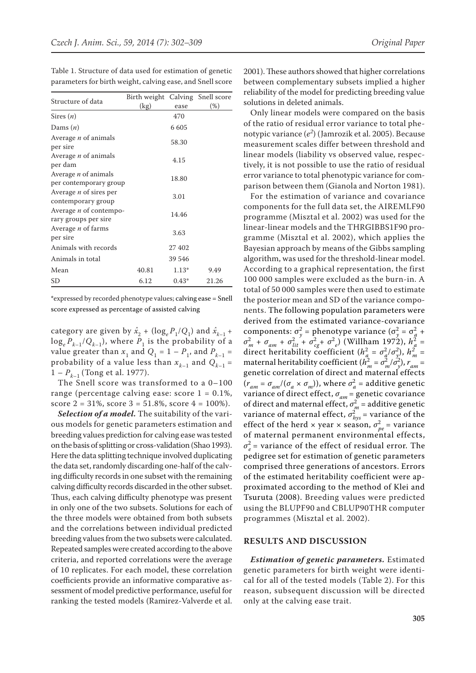|                                                       | Birth weight Calving Snell score |         |       |
|-------------------------------------------------------|----------------------------------|---------|-------|
| Structure of data                                     | (kg)                             | ease    | (%)   |
| Sires $(n)$                                           |                                  | 470     |       |
| Dams $(n)$                                            |                                  | 6 605   |       |
| Average <i>n</i> of animals<br>per sire               |                                  | 58.30   |       |
| Average <i>n</i> of animals<br>per dam                |                                  | 4.15    |       |
| Average <i>n</i> of animals<br>per contemporary group |                                  | 18.80   |       |
| Average <i>n</i> of sires per<br>contemporary group   |                                  | 3.01    |       |
| Average <i>n</i> of contempo-<br>rary groups per sire |                                  | 14.46   |       |
| Average <i>n</i> of farms<br>per sire                 |                                  | 3.63    |       |
| Animals with records                                  |                                  | 27 402  |       |
| Animals in total                                      |                                  | 39 546  |       |
| Mean                                                  | 40.81                            | $1.13*$ | 9.49  |
| SD                                                    | 6.12                             | $0.43*$ | 21.26 |

Table 1. Structure of data used for estimation of genetic parameters for birth weight, calving ease, and Snell score

\*expressed by recorded phenotype values; calving ease = Snell score expressed as percentage of assisted calving

category are given by  $\hat{x}_2 + (\log_e P_1/Q_1)$  and  $\hat{x}_{k-1}$  +  $\log_e P_{k-1}/Q_{k-1}$ , where  $P_1$  is the probability of a value greater than  $x_1$  and  $Q_1 = 1 - P_1$ , and  $P_{k-1} =$ probability of a value less than  $x_{k-1}$  and  $Q_{k-1}$  =  $1 - P_{k-1}$  (Tong et al. 1977).

The Snell score was transformed to a 0–100 range (percentage calving ease: score  $1 = 0.1\%$ , score  $2 = 31\%$ , score  $3 = 51.8\%$ , score  $4 = 100\%$ ).

*Selection of a model.* The suitability of the various models for genetic parameters estimation and breeding values prediction for calving ease was tested on the basis of splitting or cross-validation (Shao 1993). Here the data splitting technique involved duplicating the data set, randomly discarding one-half of the calving difficulty records in one subset with the remaining calving difficulty records discarded in the other subset. Thus, each calving difficulty phenotype was present in only one of the two subsets. Solutions for each of the three models were obtained from both subsets and the correlations between individual predicted breeding values from the two subsets were calculated. Repeated samples were created according to the above criteria, and reported correlations were the average of 10 replicates. For each model, these correlation coefficients provide an informative comparative assessment of model predictive performance, useful for ranking the tested models (Ramirez-Valverde et al.

2001). These authors showed that higher correlations between complementary subsets implied a higher reliability of the model for predicting breeding value solutions in deleted animals.

Only linear models were compared on the basis of the ratio of residual error variance to total phenotypic variance (*e<sup>2</sup>* ) (Jamrozik et al. 2005). Because measurement scales differ between threshold and linear models (liability vs observed value, respectively, it is not possible to use the ratio of residual error variance to total phenotypic variance for comparison between them (Gianola and Norton 1981).

For the estimation of variance and covariance components for the full data set, the AIREMLF90 programme (Misztal et al. 2002) was used for the linear-linear models and the THRGIBBS1F90 programme (Misztal et al. 2002), which applies the Bayesian approach by means of the Gibbs sampling algorithm, was used for the threshold-linear model. According to a graphical representation, the first 100 000 samples were excluded as the burn-in. A total of 50 000 samples were then used to estimate the posterior mean and SD of the variance components. The following population parameters were derived from the estimated variance-covariance components:  $\sigma_y^2$  = phenotype variance  $(\sigma_y^2 = \sigma_a^2 + \sigma_a^2)$  $\sigma_m^2 + \sigma_{am} + \sigma_{lit}^2 + \sigma_{cg}^2 + \sigma_{e}^2$  (Willham 1972),  $h_a^2 =$ direct heritability coefficient  $(h_a^2 = \sigma_a^2/\sigma_y^2)$ ,  $h_m^2 =$ maternal heritability coefficient  $(h_m^2 = \sigma_m^2/\sigma_y^2)$ ,  $r_{am} =$ genetic correlation of direct and maternal effects  $(r_{am} = \sigma_{am}/(\sigma_a \times \sigma_m))$ , where  $\sigma_a^2$  = additive genetic variance of direct effect,  $\sigma_{am}$  = genetic covariance of direct and maternal effect,  $\sigma_m^2$  = additive genetic variance of maternal effect,  $\sigma_{hys}^2$  = variance of the effect of the herd  $\times$  year  $\times$  season,  $\sigma_{pe}^2$  = variance of maternal permanent environmental effects,  $\sigma_e^2$  = variance of the effect of residual error. The pedigree set for estimation of genetic parameters comprised three generations of ancestors. Errors of the estimated heritability coefficient were approximated according to the method of Klei and Tsuruta (2008). Breeding values were predicted using the BLUPF90 and CBLUP90THR computer programmes (Misztal et al. 2002).

#### **RESULTS AND DISCUSSION**

*Estimation of genetic parameters.* Estimated genetic parameters for birth weight were identical for all of the tested models (Table 2). For this reason, subsequent discussion will be directed only at the calving ease trait.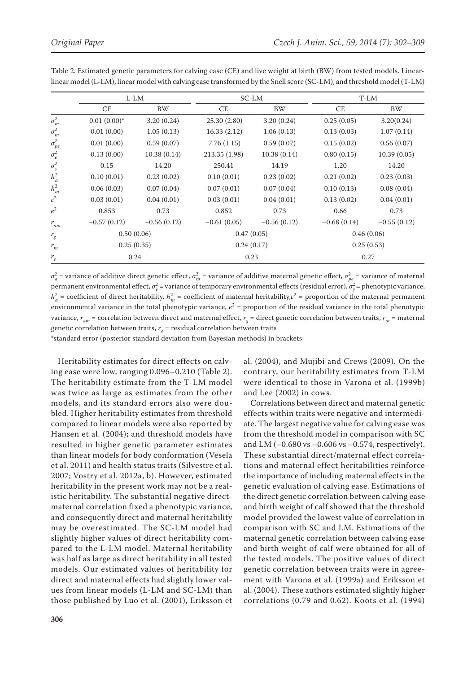|                 | L-LM          |               | SC-LM         |               | T-LM          |               |
|-----------------|---------------|---------------|---------------|---------------|---------------|---------------|
|                 | CE            | <b>BW</b>     | CE            | <b>BW</b>     | CE            | <b>BW</b>     |
| $\sigma_m^2$    | $0.01(0.00)*$ | 3.20(0.24)    | 25.30 (2.80)  | 3.20(0.24)    | 0.25(0.05)    | 3.20(0.24)    |
| $\sigma_m^2$    | 0.01(0.00)    | 1.05(0.13)    | 16.33(2.12)   | 1.06(0.13)    | 0.13(0.03)    | 1.07(0.14)    |
| $\sigma_{pe}^2$ | 0.01(0.00)    | 0.59(0.07)    | 7.76(1.15)    | 0.59(0.07)    | 0.15(0.02)    | 0.56(0.07)    |
| $\sigma_e^2$    | 0.13(0.00)    | 10.38(0.14)   | 213.35 (1.98) | 10.38(0.14)   | 0.80(0.15)    | 10.39(0.05)   |
| $\sigma_y^2$    | 0.15          | 14.20         | 250.41        | 14.19         | 1.20          | 14.20         |
| $h_a^2$         | 0.10(0.01)    | 0.23(0.02)    | 0.10(0.01)    | 0.23(0.02)    | 0.21(0.02)    | 0.23(0.03)    |
| $h_m^2$         | 0.06(0.03)    | 0.07(0.04)    | 0.07(0.01)    | 0.07(0.04)    | 0.10(0.13)    | 0.08(0.04)    |
| c <sup>2</sup>  | 0.03(0.01)    | 0.04(0.01)    | 0.03(0.01)    | 0.04(0.01)    | 0.13(0.02)    | 0.04(0.01)    |
| $e^2$           | 0.853         | 0.73          | 0.852         | 0.73          | 0.66          | 0.73          |
| $r_{am}$        | $-0.57(0.12)$ | $-0.56(0.12)$ | $-0.61(0.05)$ | $-0.56(0.12)$ | $-0.68(0.14)$ | $-0.55(0.12)$ |
| $r_g$           | 0.50(0.06)    |               | 0.47(0.05)    |               | 0.46(0.06)    |               |
| $r_m^{}$        | 0.25(0.35)    |               | 0.24(0.17)    |               | 0.25(0.53)    |               |
| $r_e$           | 0.24          |               | 0.23          |               | 0.27          |               |

Table 2. Estimated genetic parameters for calving ease (CE) and live weight at birth (BW) from tested models. Linearlinear model (L-LM), linear model with calving ease transformed by the Snell score (SC-LM), and threshold model (T-LM)

*σ*<sub>*a*</sub> = variance of additive direct genetic effect, *σ*<sub>*m*</sub></sub> = variance of additive maternal genetic effect, *σ*<sub>*p*<sub>e</sub></sub> = variance of maternal permanent environmental effect,  $\sigma_e^2$  = variance of temporary environmental effects (residual error),  $\sigma_y^2$  = phenotypic variance,  $h_a^2$  = coefficient of direct heritability,  $h_m^2$  = coefficient of maternal heritability, $c^2$  = proportion of the maternal permanent environmental variance in the total phenotypic variance,  $e^2$  = proportion of the residual variance in the total phenotypic variance,  $r_{_{\!am}}$  = correlation between direct and maternal effect,  $r_{_g}$  = direct genetic correlation between traits,  $r_{_m}$  = maternal genetic correlation between traits,  $r_{e}$  = residual correlation between traits

\*standard error (posterior standard deviation from Bayesian methods) in brackets

Heritability estimates for direct effects on calving ease were low, ranging 0.096–0.210 (Table 2). The heritability estimate from the T-LM model was twice as large as estimates from the other models, and its standard errors also were doubled. Higher heritability estimates from threshold compared to linear models were also reported by Hansen et al. (2004); and threshold models have resulted in higher genetic parameter estimates than linear models for body conformation (Vesela et al. 2011) and health status traits (Silvestre et al. 2007; Vostry et al. 2012a, b). However, estimated heritability in the present work may not be a realistic heritability. The substantial negative directmaternal correlation fixed a phenotypic variance, and consequently direct and maternal heritability may be overestimated. The SC-LM model had slightly higher values of direct heritability compared to the L-LM model. Maternal heritability was half as large as direct heritability in all tested models. Our estimated values of heritability for direct and maternal effects had slightly lower values from linear models (L-LM and SC-LM) than those published by Luo et al. (2001), Eriksson et al. (2004), and Mujibi and Crews (2009). On the contrary, our heritability estimates from T-LM were identical to those in Varona et al. (1999b) and Lee (2002) in cows.

Correlations between direct and maternal genetic effects within traits were negative and intermediate. The largest negative value for calving ease was from the threshold model in comparison with SC and LM  $(-0.680 \text{ vs } -0.606 \text{ vs } -0.574$ , respectively). These substantial direct/maternal effect correlations and maternal effect heritabilities reinforce the importance of including maternal effects in the genetic evaluation of calving ease. Estimations of the direct genetic correlation between calving ease and birth weight of calf showed that the threshold model provided the lowest value of correlation in comparison with SC and LM. Estimations of the maternal genetic correlation between calving ease and birth weight of calf were obtained for all of the tested models. The positive values of direct genetic correlation between traits were in agreement with Varona et al. (1999a) and Eriksson et al. (2004). These authors estimated slightly higher correlations (0.79 and 0.62). Koots et al. (1994)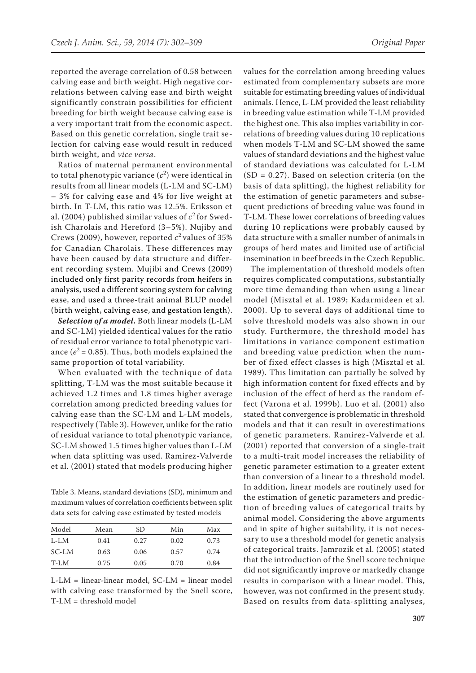reported the average correlation of 0.58 between calving ease and birth weight. High negative correlations between calving ease and birth weight significantly constrain possibilities for efficient breeding for birth weight because calving ease is a very important trait from the economic aspect. Based on this genetic correlation, single trait selection for calving ease would result in reduced birth weight, and *vice versa*.

Ratios of maternal permanent environmental to total phenotypic variance  $(c^2)$  were identical in results from all linear models (L-LM and SC-LM) – 3% for calving ease and 4% for live weight at birth. In T-LM, this ratio was 12.5%. Eriksson et al. (2004) published similar values of  $c^2$  for Swedish Charolais and Hereford (3–5%). Nujiby and Crews (2009), however, reported  $c^2$  values of 35% for Canadian Charolais. These differences may have been caused by data structure and different recording system. Mujibi and Crews (2009) included only first parity records from heifers in analysis, used a different scoring system for calving ease, and used a three-trait animal BLUP model (birth weight, calving ease, and gestation length).

*Selection of a model.* Both linear models (L-LM and SC-LM) yielded identical values for the ratio of residual error variance to total phenotypic variance  $(e^2 = 0.85)$ . Thus, both models explained the same proportion of total variability.

When evaluated with the technique of data splitting, T-LM was the most suitable because it achieved 1.2 times and 1.8 times higher average correlation among predicted breeding values for calving ease than the SC-LM and L-LM models, respectively (Table 3). However, unlike for the ratio of residual variance to total phenotypic variance, SC-LM showed 1.5 times higher values than L-LM when data splitting was used. Ramirez-Valverde et al. (2001) stated that models producing higher

Table 3. Means, standard deviations (SD), minimum and maximum values of correlation coefficients between split data sets for calving ease estimated by tested models

| Model  | Mean | SD.  | Min  | Max  |
|--------|------|------|------|------|
| $L-LM$ | 0.41 | 0.27 | 0.02 | 0.73 |
| SC-LM  | 0.63 | 0.06 | 0.57 | 0.74 |
| $T-LM$ | 0.75 | 0.05 | 0.70 | 0.84 |

L-LM = linear-linear model, SC-LM = linear model with calving ease transformed by the Snell score, T-LM = threshold model

values for the correlation among breeding values estimated from complementary subsets are more suitable for estimating breeding values of individual animals. Hence, L-LM provided the least reliability in breeding value estimation while T-LM provided the highest one. This also implies variability in correlations of breeding values during 10 replications when models T-LM and SC-LM showed the same values of standard deviations and the highest value of standard deviations was calculated for L-LM (SD = 0.27). Based on selection criteria (on the basis of data splitting), the highest reliability for the estimation of genetic parameters and subsequent predictions of breeding value was found in T-LM. These lower correlations of breeding values during 10 replications were probably caused by data structure with a smaller number of animals in groups of herd mates and limited use of artificial insemination in beef breeds in the Czech Republic.

The implementation of threshold models often requires complicated computations, substantially more time demanding than when using a linear model (Misztal et al. 1989; Kadarmideen et al. 2000). Up to several days of additional time to solve threshold models was also shown in our study. Furthermore, the threshold model has limitations in variance component estimation and breeding value prediction when the number of fixed effect classes is high (Misztal et al. 1989). This limitation can partially be solved by high information content for fixed effects and by inclusion of the effect of herd as the random effect (Varona et al. 1999b). Luo et al. (2001) also stated that convergence is problematic in threshold models and that it can result in overestimations of genetic parameters. Ramirez-Valverde et al. (2001) reported that conversion of a single-trait to a multi-trait model increases the reliability of genetic parameter estimation to a greater extent than conversion of a linear to a threshold model. In addition, linear models are routinely used for the estimation of genetic parameters and prediction of breeding values of categorical traits by animal model. Considering the above arguments and in spite of higher suitability, it is not necessary to use a threshold model for genetic analysis of categorical traits. Jamrozik et al. (2005) stated that the introduction of the Snell score technique did not significantly improve or markedly change results in comparison with a linear model. This, however, was not confirmed in the present study. Based on results from data-splitting analyses,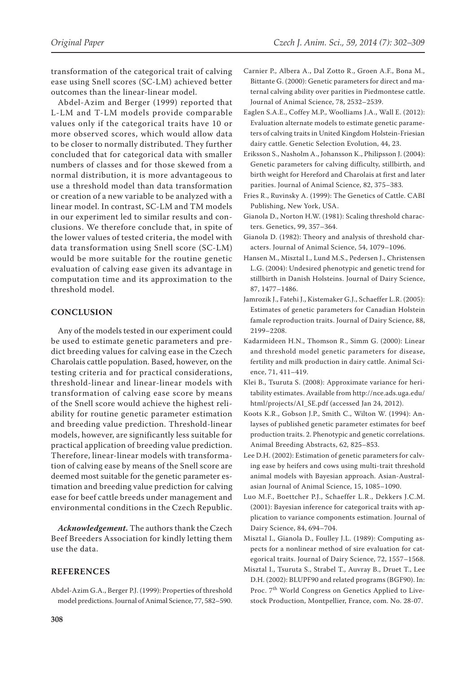transformation of the categorical trait of calving ease using Snell scores (SC-LM) achieved better outcomes than the linear-linear model.

Abdel-Azim and Berger (1999) reported that L-LM and T-LM models provide comparable values only if the categorical traits have 10 or more observed scores, which would allow data to be closer to normally distributed. They further concluded that for categorical data with smaller numbers of classes and for those skewed from a normal distribution, it is more advantageous to use a threshold model than data transformation or creation of a new variable to be analyzed with a linear model. In contrast, SC-LM and TM models in our experiment led to similar results and conclusions. We therefore conclude that, in spite of the lower values of tested criteria, the model with data transformation using Snell score (SC-LM) would be more suitable for the routine genetic evaluation of calving ease given its advantage in computation time and its approximation to the threshold model.

## **CONCLUSION**

Any of the models tested in our experiment could be used to estimate genetic parameters and predict breeding values for calving ease in the Czech Charolais cattle population. Based, however, on the testing criteria and for practical considerations, threshold-linear and linear-linear models with transformation of calving ease score by means of the Snell score would achieve the highest reliability for routine genetic parameter estimation and breeding value prediction. Threshold-linear models, however, are significantly less suitable for practical application of breeding value prediction. Therefore, linear-linear models with transformation of calving ease by means of the Snell score are deemed most suitable for the genetic parameter estimation and breeding value prediction for calving ease for beef cattle breeds under management and environmental conditions in the Czech Republic.

*Acknowledgement.* The authors thank the Czech Beef Breeders Association for kindly letting them use the data.

### **REFERENCES**

Abdel-Azim G.A., Berger P.J. (1999): Properties of threshold model predictions. Journal of Animal Science, 77, 582–590.

- Carnier P., Albera A., Dal Zotto R., Groen A.F., Bona M., Bittante G. (2000): Genetic parameters for direct and maternal calving ability over parities in Piedmontese cattle. Journal of Animal Science, 78, 2532–2539.
- Eaglen S.A.E., Coffey M.P., Woolliams J.A., Wall E. (2012): Evaluation alternate models to estimate genetic parameters of calving traits in United Kingdom Holstein-Friesian dairy cattle. Genetic Selection Evolution, 44, 23.
- Eriksson S., Nasholm A., Johansson K., Philipsson J. (2004): Genetic parameters for calving difficulty, stillbirth, and birth weight for Hereford and Charolais at first and later parities. Journal of Animal Science, 82, 375–383.
- Fries R., Ruvinsky A. (1999): The Genetics of Cattle. CABI Publishing, New York, USA.
- Gianola D., Norton H.W. (1981): Scaling threshold characters. Genetics, 99, 357–364.
- Gianola D. (1982): Theory and analysis of threshold characters. Journal of Animal Science, 54, 1079–1096.
- Hansen M., Misztal I., Lund M.S., Pedersen J., Christensen L.G. (2004): Undesired phenotypic and genetic trend for stillbirth in Danish Holsteins. Journal of Dairy Science, 87, 1477–1486.
- Jamrozik J., Fatehi J., Kistemaker G.J., Schaeffer L.R. (2005): Estimates of genetic parameters for Canadian Holstein famale reproduction traits. Journal of Dairy Science, 88, 2199–2208.
- Kadarmideen H.N., Thomson R., Simm G. (2000): Linear and threshold model genetic parameters for disease, fertility and milk production in dairy cattle. Animal Science, 71, 411–419.
- Klei B., Tsuruta S. (2008): Approximate variance for heritability estimates. Available from http://nce.ads.uga.edu/ html/projects/AI\_SE.pdf (accessed Jan 24, 2012).
- Koots K.R., Gobson J.P., Smith C., Wilton W. (1994): Anlayses of published genetic parameter estimates for beef production traits. 2. Phenotypic and genetic correlations. Animal Breeding Abstracts, 62, 825–853.
- Lee D.H. (2002): Estimation of genetic parameters for calving ease by heifers and cows using multi-trait threshold animal models with Bayesian approach. Asian-Australasian Journal of Animal Science, 15, 1085–1090.
- Luo M.F., Boettcher P.J., Schaeffer L.R., Dekkers J.C.M. (2001): Bayesian inference for categorical traits with application to variance components estimation. Journal of Dairy Science, 84, 694–704.
- Misztal I., Gianola D., Foulley J.L. (1989): Computing aspects for a nonlinear method of sire evaluation for categorical traits. Journal of Dairy Science, 72, 1557–1568.
- Misztal I., Tsuruta S., Strabel T., Auvray B., Druet T., Lee D.H. (2002): BLUPF90 and related programs (BGF90). In: Proc. 7<sup>th</sup> World Congress on Genetics Applied to Livestock Production, Montpellier, France, com. No. 28-07.